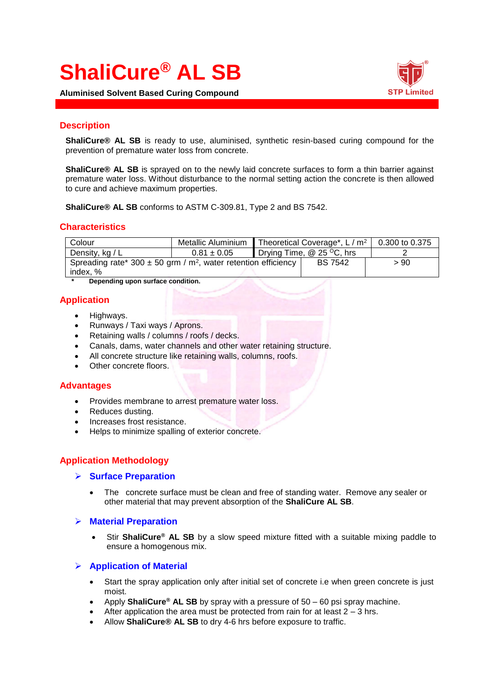# **ShaliCure® AL SB**

**Aluminised Solvent Based Curing Compound**



# **Description**

**ShaliCure® AL SB** is ready to use, aluminised, synthetic resin-based curing compound for the prevention of premature water loss from concrete.

**ShaliCure® AL SB** is sprayed on to the newly laid concrete surfaces to form a thin barrier against premature water loss. Without disturbance to the normal setting action the concrete is then allowed to cure and achieve maximum properties.

**ShaliCure® AL SB** conforms to ASTM C-309.81, Type 2 and BS 7542.

# **Characteristics**

| Colour                                                                         | Metallic Aluminium | Theoretical Coverage*, $L/m^2$ |         | 0.300 to 0.375 |
|--------------------------------------------------------------------------------|--------------------|--------------------------------|---------|----------------|
| Density, kg / L                                                                | $0.81 \pm 0.05$    | Drying Time, @ 25 °C, hrs      |         |                |
| Spreading rate* 300 $\pm$ 50 grm / m <sup>2</sup> , water retention efficiency |                    |                                | BS 7542 | > 90           |
| index, %                                                                       |                    |                                |         |                |

**\* Depending upon surface condition.**

# **Application**

- Highways.
- Runways / Taxi ways / Aprons.
- Retaining walls / columns / roofs / decks.
- Canals, dams, water channels and other water retaining structure.
- All concrete structure like retaining walls, columns, roofs.
- Other concrete floors.

#### **Advantages**

- Provides membrane to arrest premature water loss.
- Reduces dusting.
- Increases frost resistance.
- Helps to minimize spalling of exterior concrete.

# **Application Methodology**

#### ➢ **Surface Preparation**

• The concrete surface must be clean and free of standing water. Remove any sealer or other material that may prevent absorption of the **ShaliCure AL SB**.

#### ➢ **Material Preparation**

• Stir **ShaliCure® AL SB** by a slow speed mixture fitted with a suitable mixing paddle to ensure a homogenous mix.

#### ➢ **Application of Material**

- Start the spray application only after initial set of concrete i.e when green concrete is just moist.
- Apply **ShaliCure® AL SB** by spray with a pressure of 50 60 psi spray machine.
- After application the area must be protected from rain for at least  $2 3$  hrs.
- Allow **ShaliCure® AL SB** to dry 4-6 hrs before exposure to traffic.